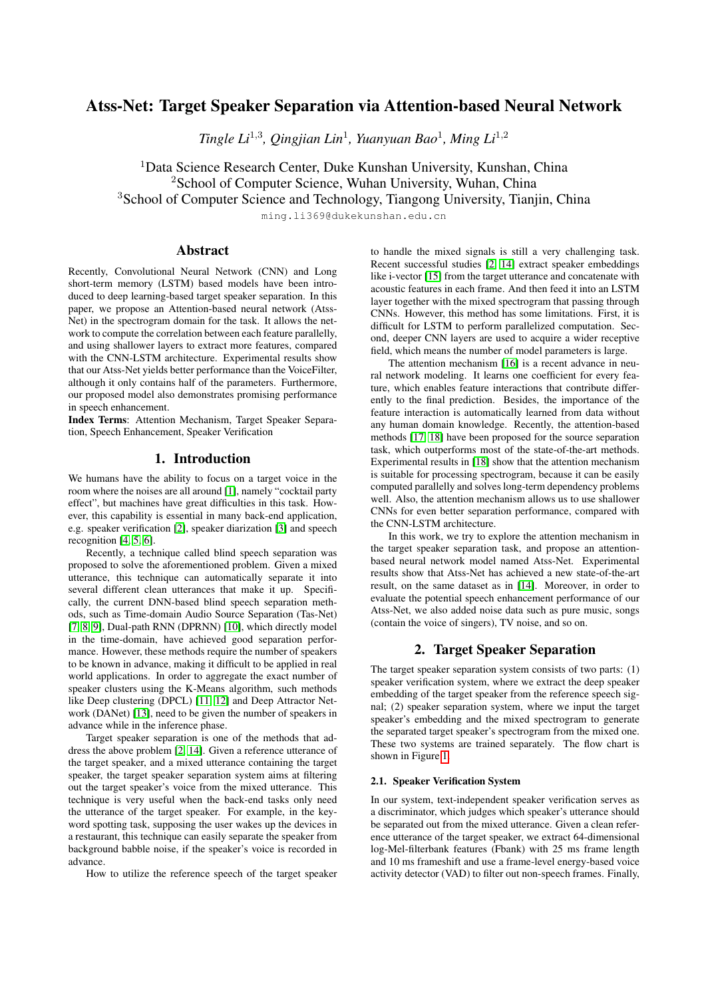# Atss-Net: Target Speaker Separation via Attention-based Neural Network

*Tingle Li*<sup>1</sup>,<sup>3</sup> *, Qingjian Lin*<sup>1</sup> *, Yuanyuan Bao*<sup>1</sup> *, Ming Li*<sup>1</sup>,<sup>2</sup>

<sup>1</sup>Data Science Research Center, Duke Kunshan University, Kunshan, China <sup>2</sup>School of Computer Science, Wuhan University, Wuhan, China <sup>3</sup>School of Computer Science and Technology, Tiangong University, Tianjin, China

ming.li369@dukekunshan.edu.cn

## Abstract

Recently, Convolutional Neural Network (CNN) and Long short-term memory (LSTM) based models have been introduced to deep learning-based target speaker separation. In this paper, we propose an Attention-based neural network (Atss-Net) in the spectrogram domain for the task. It allows the network to compute the correlation between each feature parallelly, and using shallower layers to extract more features, compared with the CNN-LSTM architecture. Experimental results show that our Atss-Net yields better performance than the VoiceFilter, although it only contains half of the parameters. Furthermore, our proposed model also demonstrates promising performance in speech enhancement.

Index Terms: Attention Mechanism, Target Speaker Separation, Speech Enhancement, Speaker Verification

## 1. Introduction

We humans have the ability to focus on a target voice in the room where the noises are all around [\[1\]](#page-4-0), namely "cocktail party effect", but machines have great difficulties in this task. However, this capability is essential in many back-end application, e.g. speaker verification [\[2\]](#page-4-1), speaker diarization [\[3\]](#page-4-2) and speech recognition [\[4,](#page-4-3) [5,](#page-4-4) [6\]](#page-4-5).

Recently, a technique called blind speech separation was proposed to solve the aforementioned problem. Given a mixed utterance, this technique can automatically separate it into several different clean utterances that make it up. Specifically, the current DNN-based blind speech separation methods, such as Time-domain Audio Source Separation (Tas-Net) [\[7,](#page-4-6) [8,](#page-4-7) [9\]](#page-4-8), Dual-path RNN (DPRNN) [\[10\]](#page-4-9), which directly model in the time-domain, have achieved good separation performance. However, these methods require the number of speakers to be known in advance, making it difficult to be applied in real world applications. In order to aggregate the exact number of speaker clusters using the K-Means algorithm, such methods like Deep clustering (DPCL) [\[11,](#page-4-10) [12\]](#page-4-11) and Deep Attractor Network (DANet) [\[13\]](#page-4-12), need to be given the number of speakers in advance while in the inference phase.

Target speaker separation is one of the methods that address the above problem [\[2,](#page-4-1) [14\]](#page-4-13). Given a reference utterance of the target speaker, and a mixed utterance containing the target speaker, the target speaker separation system aims at filtering out the target speaker's voice from the mixed utterance. This technique is very useful when the back-end tasks only need the utterance of the target speaker. For example, in the keyword spotting task, supposing the user wakes up the devices in a restaurant, this technique can easily separate the speaker from background babble noise, if the speaker's voice is recorded in advance.

How to utilize the reference speech of the target speaker

to handle the mixed signals is still a very challenging task. Recent successful studies [\[2,](#page-4-1) [14\]](#page-4-13) extract speaker embeddings like i-vector [\[15\]](#page-4-14) from the target utterance and concatenate with acoustic features in each frame. And then feed it into an LSTM layer together with the mixed spectrogram that passing through CNNs. However, this method has some limitations. First, it is difficult for LSTM to perform parallelized computation. Second, deeper CNN layers are used to acquire a wider receptive field, which means the number of model parameters is large.

The attention mechanism [\[16\]](#page-4-15) is a recent advance in neural network modeling. It learns one coefficient for every feature, which enables feature interactions that contribute differently to the final prediction. Besides, the importance of the feature interaction is automatically learned from data without any human domain knowledge. Recently, the attention-based methods [\[17,](#page-4-16) [18\]](#page-4-17) have been proposed for the source separation task, which outperforms most of the state-of-the-art methods. Experimental results in [\[18\]](#page-4-17) show that the attention mechanism is suitable for processing spectrogram, because it can be easily computed parallelly and solves long-term dependency problems well. Also, the attention mechanism allows us to use shallower CNNs for even better separation performance, compared with the CNN-LSTM architecture.

In this work, we try to explore the attention mechanism in the target speaker separation task, and propose an attentionbased neural network model named Atss-Net. Experimental results show that Atss-Net has achieved a new state-of-the-art result, on the same dataset as in [\[14\]](#page-4-13). Moreover, in order to evaluate the potential speech enhancement performance of our Atss-Net, we also added noise data such as pure music, songs (contain the voice of singers), TV noise, and so on.

## 2. Target Speaker Separation

The target speaker separation system consists of two parts: (1) speaker verification system, where we extract the deep speaker embedding of the target speaker from the reference speech signal; (2) speaker separation system, where we input the target speaker's embedding and the mixed spectrogram to generate the separated target speaker's spectrogram from the mixed one. These two systems are trained separately. The flow chart is shown in Figure [1.](#page-1-0)

### 2.1. Speaker Verification System

In our system, text-independent speaker verification serves as a discriminator, which judges which speaker's utterance should be separated out from the mixed utterance. Given a clean reference utterance of the target speaker, we extract 64-dimensional log-Mel-filterbank features (Fbank) with 25 ms frame length and 10 ms frameshift and use a frame-level energy-based voice activity detector (VAD) to filter out non-speech frames. Finally,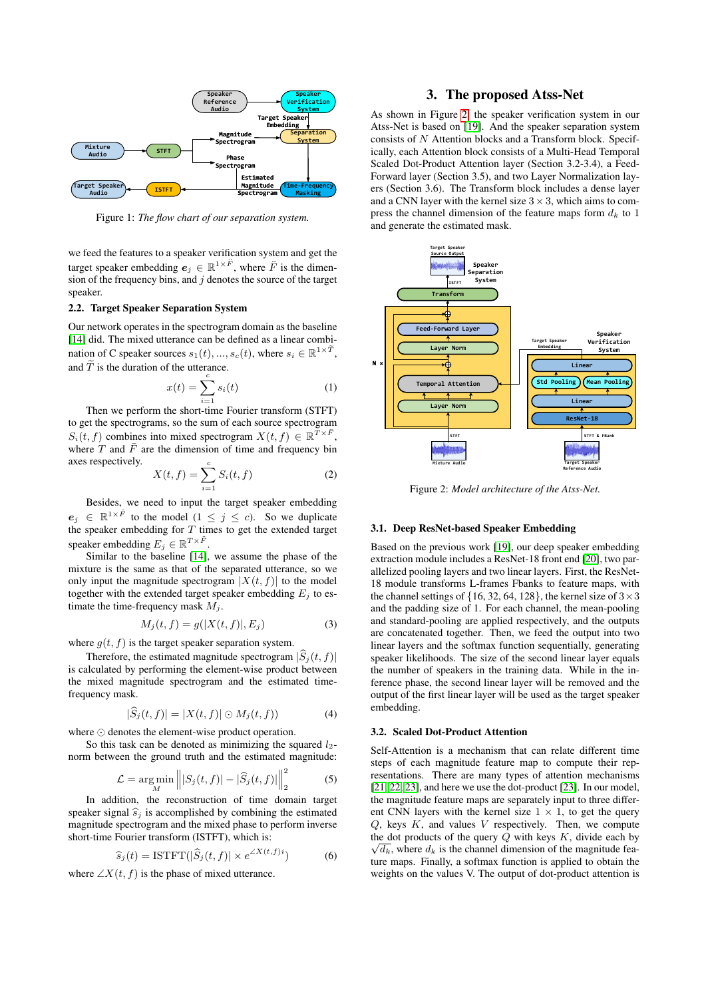<span id="page-1-0"></span>

Figure 1: *The flow chart of our separation system.*

we feed the features to a speaker verification system and get the target speaker embedding  $e_j \in \mathbb{R}^{1 \times \ddot{F}}$ , where  $\ddot{F}$  is the dimension of the frequency bins, and  $j$  denotes the source of the target speaker.

### 2.2. Target Speaker Separation System

Our network operates in the spectrogram domain as the baseline [\[14\]](#page-4-13) did. The mixed utterance can be defined as a linear combination of C speaker sources  $s_1(t), ..., s_c(t)$ , where  $s_i \in \mathbb{R}^{1 \times T}$ , and  $\widetilde{T}$  is the duration of the utterance.

$$
x(t) = \sum_{i=1}^{c} s_i(t) \tag{1}
$$

Then we perform the short-time Fourier transform (STFT) to get the spectrograms, so the sum of each source spectrogram  $S_i(t, f)$  combines into mixed spectrogram  $X(t, f) \in \mathbb{R}^{\bar{T} \times \bar{F}}$ , where  $T$  and  $\overline{F}$  are the dimension of time and frequency bin axes respectively.

$$
X(t, f) = \sum_{i=1}^{c} S_i(t, f)
$$
 (2)

Besides, we need to input the target speaker embedding  $e_j \in \mathbb{R}^{1 \times \tilde{F}}$  to the model  $(1 \leq j \leq c)$ . So we duplicate the speaker embedding for  $T$  times to get the extended target speaker embedding  $E_j \in \mathbb{R}^{T \times \ddot{F}}$ .

Similar to the baseline [\[14\]](#page-4-13), we assume the phase of the mixture is the same as that of the separated utterance, so we only input the magnitude spectrogram  $|X(t, f)|$  to the model together with the extended target speaker embedding  $E_i$  to estimate the time-frequency mask  $M_i$ .

$$
M_j(t, f) = g(|X(t, f)|, E_j)
$$
\n(3)

where  $g(t, f)$  is the target speaker separation system.

Therefore, the estimated magnitude spectrogram  $|\widehat{S}_i(t, f)|$ is calculated by performing the element-wise product between the mixed magnitude spectrogram and the estimated timefrequency mask.

$$
|\widehat{S}_j(t,f)| = |X(t,f)| \odot M_j(t,f)) \tag{4}
$$

where  $\odot$  denotes the element-wise product operation.

So this task can be denoted as minimizing the squared  $l_2$ norm between the ground truth and the estimated magnitude:

$$
\mathcal{L} = \underset{M}{\arg\min} \left\| |S_j(t, f)| - |\widehat{S}_j(t, f)| \right\|_2^2 \tag{5}
$$

In addition, the reconstruction of time domain target speaker signal  $\hat{s}_i$  is accomplished by combining the estimated magnitude spectrogram and the mixed phase to perform inverse short-time Fourier transform (ISTFT), which is:

$$
\widehat{s}_j(t) = \text{ISTFT}(|\widehat{S}_j(t,f)| \times e^{\angle X(t,f)i}) \tag{6}
$$

where  $\angle X(t, f)$  is the phase of mixed utterance.

## 3. The proposed Atss-Net

As shown in Figure [2,](#page-1-1) the speaker verification system in our Atss-Net is based on [\[19\]](#page-4-18). And the speaker separation system consists of N Attention blocks and a Transform block. Specifically, each Attention block consists of a Multi-Head Temporal Scaled Dot-Product Attention layer (Section 3.2-3.4), a Feed-Forward layer (Section 3.5), and two Layer Normalization layers (Section 3.6). The Transform block includes a dense layer and a CNN layer with the kernel size  $3 \times 3$ , which aims to compress the channel dimension of the feature maps form  $d_k$  to 1 and generate the estimated mask.

<span id="page-1-1"></span>

Figure 2: *Model architecture of the Atss-Net.*

### 3.1. Deep ResNet-based Speaker Embedding

Based on the previous work [\[19\]](#page-4-18), our deep speaker embedding extraction module includes a ResNet-18 front end [\[20\]](#page-4-19), two parallelized pooling layers and two linear layers. First, the ResNet-18 module transforms L-frames Fbanks to feature maps, with the channel settings of  $\{16, 32, 64, 128\}$ , the kernel size of  $3 \times 3$ and the padding size of 1. For each channel, the mean-pooling and standard-pooling are applied respectively, and the outputs are concatenated together. Then, we feed the output into two linear layers and the softmax function sequentially, generating speaker likelihoods. The size of the second linear layer equals the number of speakers in the training data. While in the inference phase, the second linear layer will be removed and the output of the first linear layer will be used as the target speaker embedding.

### 3.2. Scaled Dot-Product Attention

Self-Attention is a mechanism that can relate different time steps of each magnitude feature map to compute their representations. There are many types of attention mechanisms [\[21,](#page-4-20) [22,](#page-4-21) [23\]](#page-4-22), and here we use the dot-product [\[23\]](#page-4-22). In our model, the magnitude feature maps are separately input to three different CNN layers with the kernel size  $1 \times 1$ , to get the query  $Q$ , keys  $K$ , and values  $V$  respectively. Then, we compute the dot products of the query  $Q$  with keys  $K$ , divide each by  $\sqrt{d_k}$ , where  $d_k$  is the channel dimension of the magnitude feature maps. Finally, a softmax function is applied to obtain the weights on the values V. The output of dot-product attention is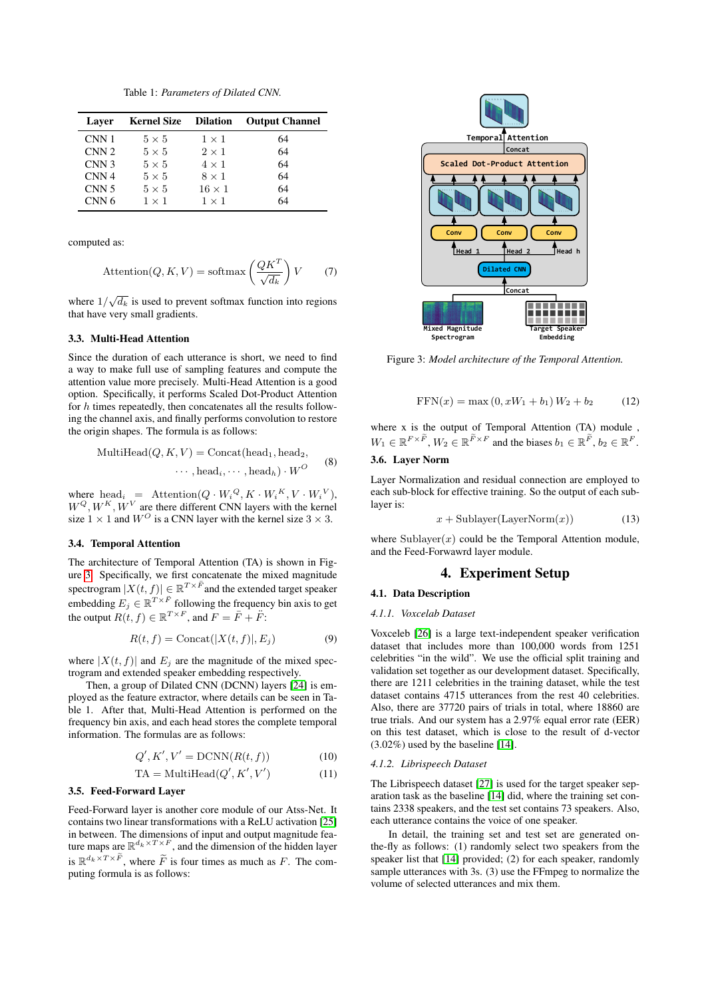Table 1: *Parameters of Dilated CNN.*

| Laver            | <b>Kernel Size</b> Dilation |               | <b>Output Channel</b> |
|------------------|-----------------------------|---------------|-----------------------|
| CNN 1            | $5 \times 5$                | $1 \times 1$  | 64                    |
| CNN <sub>2</sub> | $5 \times 5$                | $2 \times 1$  | 64                    |
| CNN <sub>3</sub> | $5 \times 5$                | $4 \times 1$  | 64                    |
| CNN <sub>4</sub> | $5 \times 5$                | $8 \times 1$  | 64                    |
| CNN <sub>5</sub> | $5 \times 5$                | $16 \times 1$ | 64                    |
| CNN <sub>6</sub> | $1 \times 1$                | $1 \times 1$  | 64                    |

computed as:

$$
\text{Attention}(Q, K, V) = \text{softmax}\left(\frac{QK^T}{\sqrt{d_k}}\right)V\tag{7}
$$

where  $1/\sqrt{d_k}$  is used to prevent softmax function into regions that have very small gradients.

### 3.3. Multi-Head Attention

Since the duration of each utterance is short, we need to find a way to make full use of sampling features and compute the attention value more precisely. Multi-Head Attention is a good option. Specifically, it performs Scaled Dot-Product Attention for  $h$  times repeatedly, then concatenates all the results following the channel axis, and finally performs convolution to restore the origin shapes. The formula is as follows:

$$
\text{MultiHead}(Q, K, V) = \text{Concat}(\text{head}_1, \text{head}_2, \cdots, \text{head}_i, \cdots, \text{head}_h) \cdot W^O \tag{8}
$$

where  $head_i =$  Attention $(Q \cdot W_i^Q, K \cdot W_i^K, V \cdot W_i^V)$ ,  $W^{Q}, W^{K}, W^{V}$  are there different CNN layers with the kernel size  $1 \times 1$  and  $W^O$  is a CNN layer with the kernel size  $3 \times 3$ .

### 3.4. Temporal Attention

The architecture of Temporal Attention (TA) is shown in Figure [3.](#page-2-0) Specifically, we first concatenate the mixed magnitude spectrogram  $|X(t, f)| \in \mathbb{R}^{T \times \bar{F}}$  and the extended target speaker embedding  $E_j \in \mathbb{R}^{T \times \ddot{F}}$  following the frequency bin axis to get the output  $R(t, f) \in \mathbb{R}^{T \times F}$ , and  $F = \bar{F} + \ddot{F}$ :

$$
R(t, f) = \text{Concat}(|X(t, f)|, E_j)
$$
\n(9)

where  $|X(t, f)|$  and  $E_j$  are the magnitude of the mixed spectrogram and extended speaker embedding respectively.

Then, a group of Dilated CNN (DCNN) layers [\[24\]](#page-4-23) is employed as the feature extractor, where details can be seen in Table 1. After that, Multi-Head Attention is performed on the frequency bin axis, and each head stores the complete temporal information. The formulas are as follows:

$$
Q', K', V' = \text{DCNN}(R(t, f))\tag{10}
$$

$$
TA = MultiHead(Q', K', V') \tag{11}
$$

#### 3.5. Feed-Forward Layer

Feed-Forward layer is another core module of our Atss-Net. It contains two linear transformations with a ReLU activation [\[25\]](#page-4-24) in between. The dimensions of input and output magnitude feature maps are  $\mathbb{R}^{d_k \times T \times F}$ , and the dimension of the hidden layer is  $\mathbb{R}^{d_k \times T \times \overline{F}}$ , where  $\widetilde{F}$  is four times as much as F. The computing formula is as follows:

<span id="page-2-0"></span>

Figure 3: *Model architecture of the Temporal Attention.*

$$
FFN(x) = \max(0, xW_1 + b_1)W_2 + b_2 \tag{12}
$$

where x is the output of Temporal Attention (TA) module ,  $W_1 \in \mathbb{R}^{F \times F}$ ,  $W_2 \in \mathbb{R}^{F \times F}$  and the biases  $b_1 \in \mathbb{R}^F$ ,  $b_2 \in \mathbb{R}^F$ .

## 3.6. Layer Norm

Layer Normalization and residual connection are employed to each sub-block for effective training. So the output of each sublayer is:

$$
x + \text{Sublayer}(\text{LayerNorm}(x))\tag{13}
$$

where  $\text{Sublayer}(x)$  could be the Temporal Attention module, and the Feed-Forwawrd layer module.

## 4. Experiment Setup

### 4.1. Data Description

#### *4.1.1. Voxcelab Dataset*

Voxceleb [\[26\]](#page-4-25) is a large text-independent speaker verification dataset that includes more than 100,000 words from 1251 celebrities "in the wild". We use the official split training and validation set together as our development dataset. Specifically, there are 1211 celebrities in the training dataset, while the test dataset contains 4715 utterances from the rest 40 celebrities. Also, there are 37720 pairs of trials in total, where 18860 are true trials. And our system has a 2.97% equal error rate (EER) on this test dataset, which is close to the result of d-vector (3.02%) used by the baseline [\[14\]](#page-4-13).

#### *4.1.2. Librispeech Dataset*

The Librispeech dataset [\[27\]](#page-4-26) is used for the target speaker separation task as the baseline [\[14\]](#page-4-13) did, where the training set contains 2338 speakers, and the test set contains 73 speakers. Also, each utterance contains the voice of one speaker.

In detail, the training set and test set are generated onthe-fly as follows: (1) randomly select two speakers from the speaker list that [\[14\]](#page-4-13) provided; (2) for each speaker, randomly sample utterances with 3s. (3) use the FFmpeg to normalize the volume of selected utterances and mix them.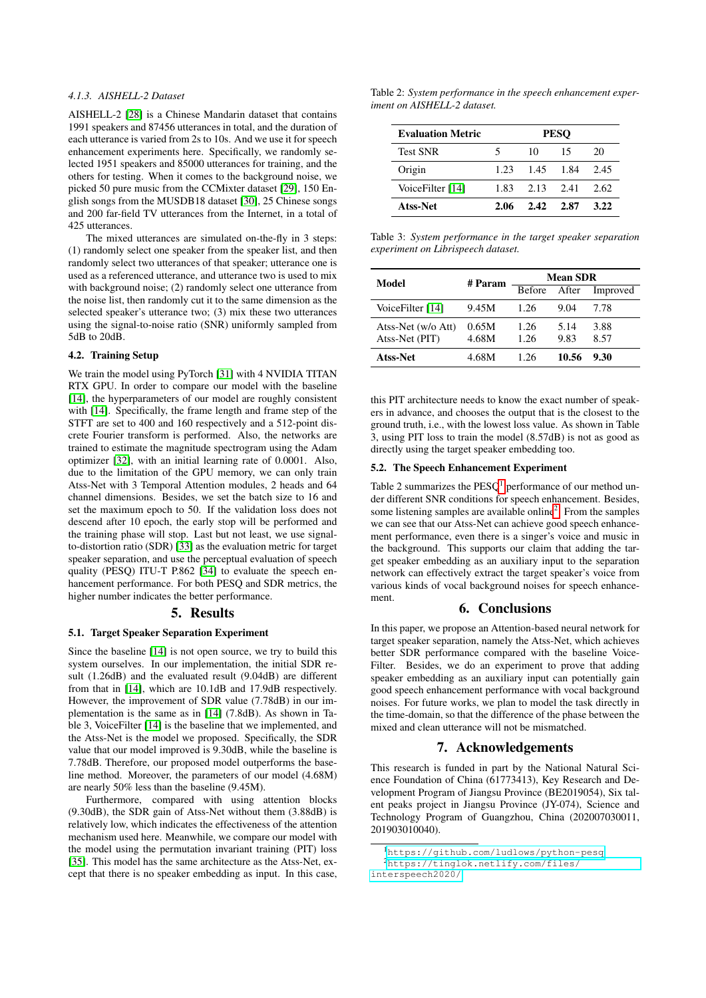## *4.1.3. AISHELL-2 Dataset*

AISHELL-2 [\[28\]](#page-4-27) is a Chinese Mandarin dataset that contains 1991 speakers and 87456 utterances in total, and the duration of each utterance is varied from 2s to 10s. And we use it for speech enhancement experiments here. Specifically, we randomly selected 1951 speakers and 85000 utterances for training, and the others for testing. When it comes to the background noise, we picked 50 pure music from the CCMixter dataset [\[29\]](#page-4-28), 150 English songs from the MUSDB18 dataset [\[30\]](#page-4-29), 25 Chinese songs and 200 far-field TV utterances from the Internet, in a total of 425 utterances.

The mixed utterances are simulated on-the-fly in 3 steps: (1) randomly select one speaker from the speaker list, and then randomly select two utterances of that speaker; utterance one is used as a referenced utterance, and utterance two is used to mix with background noise; (2) randomly select one utterance from the noise list, then randomly cut it to the same dimension as the selected speaker's utterance two; (3) mix these two utterances using the signal-to-noise ratio (SNR) uniformly sampled from 5dB to 20dB.

### 4.2. Training Setup

We train the model using PyTorch [\[31\]](#page-4-30) with 4 NVIDIA TITAN RTX GPU. In order to compare our model with the baseline [\[14\]](#page-4-13), the hyperparameters of our model are roughly consistent with [\[14\]](#page-4-13). Specifically, the frame length and frame step of the STFT are set to 400 and 160 respectively and a 512-point discrete Fourier transform is performed. Also, the networks are trained to estimate the magnitude spectrogram using the Adam optimizer [\[32\]](#page-4-31), with an initial learning rate of 0.0001. Also, due to the limitation of the GPU memory, we can only train Atss-Net with 3 Temporal Attention modules, 2 heads and 64 channel dimensions. Besides, we set the batch size to 16 and set the maximum epoch to 50. If the validation loss does not descend after 10 epoch, the early stop will be performed and the training phase will stop. Last but not least, we use signalto-distortion ratio (SDR) [\[33\]](#page-4-32) as the evaluation metric for target speaker separation, and use the perceptual evaluation of speech quality (PESQ) ITU-T P.862 [\[34\]](#page-4-33) to evaluate the speech enhancement performance. For both PESQ and SDR metrics, the higher number indicates the better performance.

### 5. Results

### 5.1. Target Speaker Separation Experiment

Since the baseline [\[14\]](#page-4-13) is not open source, we try to build this system ourselves. In our implementation, the initial SDR result (1.26dB) and the evaluated result (9.04dB) are different from that in [\[14\]](#page-4-13), which are 10.1dB and 17.9dB respectively. However, the improvement of SDR value (7.78dB) in our implementation is the same as in [\[14\]](#page-4-13) (7.8dB). As shown in Table 3, VoiceFilter [\[14\]](#page-4-13) is the baseline that we implemented, and the Atss-Net is the model we proposed. Specifically, the SDR value that our model improved is 9.30dB, while the baseline is 7.78dB. Therefore, our proposed model outperforms the baseline method. Moreover, the parameters of our model (4.68M) are nearly 50% less than the baseline (9.45M).

Furthermore, compared with using attention blocks (9.30dB), the SDR gain of Atss-Net without them (3.88dB) is relatively low, which indicates the effectiveness of the attention mechanism used here. Meanwhile, we compare our model with the model using the permutation invariant training (PIT) loss [\[35\]](#page-4-34). This model has the same architecture as the Atss-Net, except that there is no speaker embedding as input. In this case,

Table 2: *System performance in the speech enhancement experiment on AISHELL-2 dataset.*

| <b>Evaluation Metric</b> | <b>PESO</b> |                      |      |      |
|--------------------------|-------------|----------------------|------|------|
| <b>Test SNR</b>          | 5           | 10                   | 15   | 20   |
| Origin                   | 1.23        | 1.45 1.84            |      | 2.45 |
| VoiceFilter [14]         |             | $1.83$ $2.13$ $2.41$ |      | 2.62 |
| Atss-Net                 | 2.06        | 2.42                 | 2.87 | 3.22 |

Table 3: *System performance in the target speaker separation experiment on Librispeech dataset.*

| Model                                | # Param        | <b>Mean SDR</b> |              |              |  |
|--------------------------------------|----------------|-----------------|--------------|--------------|--|
|                                      |                | <b>Before</b>   | After        | Improved     |  |
| VoiceFilter [14]                     | 9.45M          | 1.26            | 9.04         | 7.78         |  |
| Atss-Net (w/o Att)<br>Atss-Net (PIT) | 0.65M<br>4.68M | 1.26<br>1.26    | 5.14<br>9.83 | 3.88<br>8.57 |  |
| Atss-Net                             | 4.68M          | 1 26            | 10.56        | 9.30         |  |

this PIT architecture needs to know the exact number of speakers in advance, and chooses the output that is the closest to the ground truth, i.e., with the lowest loss value. As shown in Table 3, using PIT loss to train the model (8.57dB) is not as good as directly using the target speaker embedding too.

### 5.2. The Speech Enhancement Experiment

Table 2 summarizes the  $PESQ<sup>1</sup>$  $PESQ<sup>1</sup>$  $PESQ<sup>1</sup>$  performance of our method under different SNR conditions for speech enhancement. Besides, some listening samples are available online<sup>[2](#page-3-1)</sup>. From the samples we can see that our Atss-Net can achieve good speech enhancement performance, even there is a singer's voice and music in the background. This supports our claim that adding the target speaker embedding as an auxiliary input to the separation network can effectively extract the target speaker's voice from various kinds of vocal background noises for speech enhancement.

## 6. Conclusions

In this paper, we propose an Attention-based neural network for target speaker separation, namely the Atss-Net, which achieves better SDR performance compared with the baseline Voice-Filter. Besides, we do an experiment to prove that adding speaker embedding as an auxiliary input can potentially gain good speech enhancement performance with vocal background noises. For future works, we plan to model the task directly in the time-domain, so that the difference of the phase between the mixed and clean utterance will not be mismatched.

## 7. Acknowledgements

This research is funded in part by the National Natural Science Foundation of China (61773413), Key Research and Development Program of Jiangsu Province (BE2019054), Six talent peaks project in Jiangsu Province (JY-074), Science and Technology Program of Guangzhou, China (202007030011, 201903010040).

<span id="page-3-0"></span><sup>1</sup><https://github.com/ludlows/python-pesq>

<span id="page-3-1"></span><sup>2</sup>[https://tinglok.netlify.com/files/](https://tinglok.netlify.com/files/interspeech2020/)

[interspeech2020/](https://tinglok.netlify.com/files/interspeech2020/)